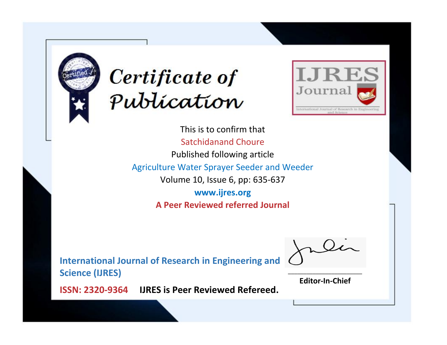



This is to confirm that Satchidanand Choure Published following article Agriculture Water Sprayer Seeder and Weeder Volume 10, Issue 6, pp: 635-637 **www.ijres.org A Peer Reviewed referred Journal**

**International Journal of Research in Engineering and Science (IJRES)**

\_\_\_\_\_\_\_\_\_\_\_\_\_\_\_\_\_\_\_\_\_\_\_\_ **Editor-In-Chief**

**Journal.**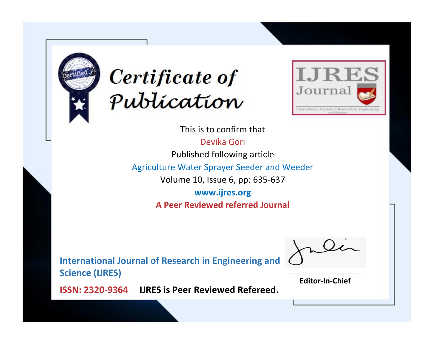



This is to confirm that

Devika Gori

Published following article

Agriculture Water Sprayer Seeder and Weeder

Volume 10, Issue 6, pp: 635-637

**www.ijres.org A Peer Reviewed referred Journal**

**International Journal of Research in Engineering and Science (IJRES)**

\_\_\_\_\_\_\_\_\_\_\_\_\_\_\_\_\_\_\_\_\_\_\_\_ **Editor-In-Chief**

**Journal.**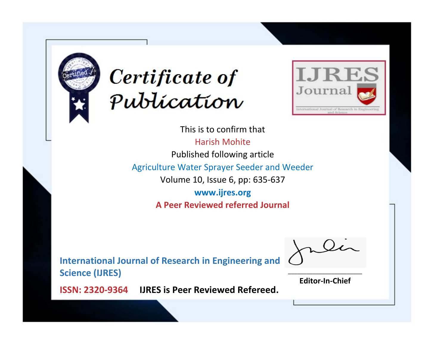



This is to confirm that Harish Mohite Published following article Agriculture Water Sprayer Seeder and Weeder Volume 10, Issue 6, pp: 635-637 **www.ijres.org A Peer Reviewed referred Journal**

**International Journal of Research in Engineering and Science (IJRES)**

\_\_\_\_\_\_\_\_\_\_\_\_\_\_\_\_\_\_\_\_\_\_\_\_ **Editor-In-Chief**

**Journal.**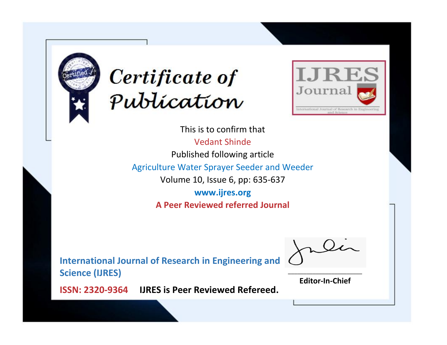



This is to confirm that Vedant Shinde Published following article Agriculture Water Sprayer Seeder and Weeder Volume 10, Issue 6, pp: 635-637 **www.ijres.org A Peer Reviewed referred Journal**

**International Journal of Research in Engineering and Science (IJRES)**

\_\_\_\_\_\_\_\_\_\_\_\_\_\_\_\_\_\_\_\_\_\_\_\_ **Editor-In-Chief**

**Journal.**